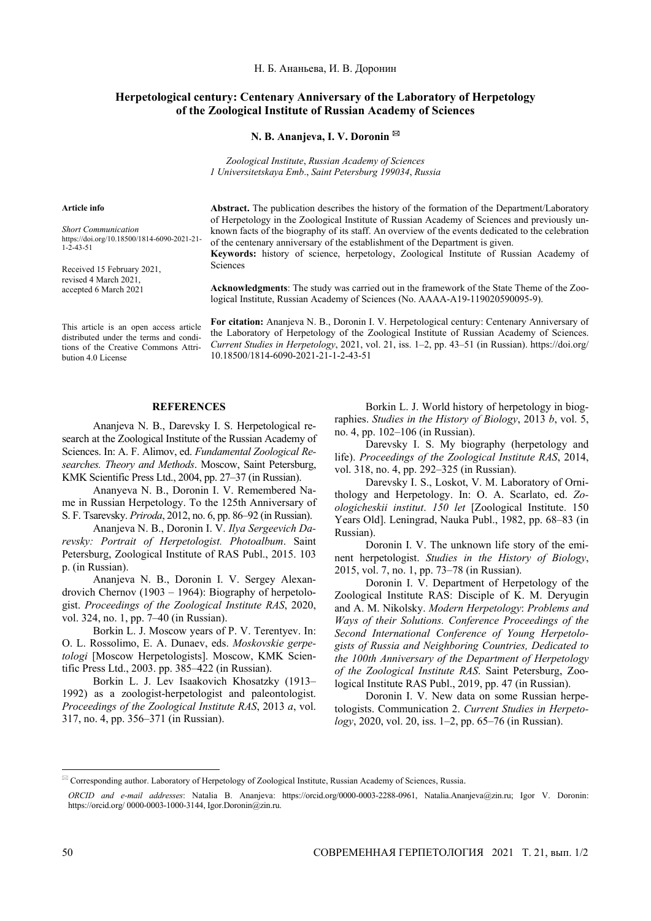Н. Б. Ананьева, И. В. Доронин

## **Herpetological century: Centenary Anniversary of the Laboratory of Herpetology of the Zoological Institute of Russian Academy of Sciences**

**N. B. Ananjeva, I. V. Doronin** 

*Zoological Institute*, *Russian Academy of Sciences 1 Universitetskaya Emb*., *Saint Petersburg 199034*, *Russia* 

## **Article info**

*Short Communication*  https://doi.org/10.18500/1814-6090-2021-21- 1-2-43-51

Received 15 February 2021, revised 4 March 2021, accepted 6 March 2021

This article is an open access article distributed under the terms and conditions of the Creative Commons Attribution 4.0 License

**Abstract.** The publication describes the history of the formation of the Department/Laboratory of Herpetology in the Zoological Institute of Russian Academy of Sciences and previously unknown facts of the biography of its staff. An overview of the events dedicated to the celebration of the centenary anniversary of the establishment of the Department is given. **Keywords:** history of science, herpetology, Zoological Institute of Russian Academy of

Sciences

**Acknowledgments**: The study was carried out in the framework of the State Theme of the Zoological Institute, Russian Academy of Sciences (No. АААА-А19-119020590095-9).

**For citation:** Ananjeva N. B., Doronin I. V. Herpetological century: Centenary Anniversary of the Laboratory of Herpetology of the Zoological Institute of Russian Academy of Sciences. *Current Studies in Herpetology*, 2021, vol. 21, iss. 1–2, pp. 43–51 (in Russian). https://doi.org/ 10.18500/1814-6090-2021-21-1-2-43-51

## **REFERENCES**

Ananjeva N. B., Darevsky I. S. Herpetological research at the Zoological Institute of the Russian Academy of Sciences. In: A. F. Alimov, ed. *Fundamental Zoological Researches. Theory and Methods*. Moscow, Saint Petersburg, KMK Scientific Press Ltd., 2004, pp. 27–37 (in Russian).

Ananyeva N. B., Doronin I. V. Remembered Name in Russian Herpetology. To the 125th Anniversary of S. F. Tsarevsky. *Priroda*, 2012, no. 6, pp. 86–92 (in Russian).

Ananjeva N. B., Doronin I. V. *Ilya Sergeevich Darevsky: Portrait of Herpetologist. Photoalbum*. Saint Petersburg, Zoological Institute of RAS Publ., 2015. 103 p. (in Russian).

Ananjeva N. B., Doronin I. V. Sergey Alexandrovich Chernov (1903 – 1964): Biography of herpetologist. *Proceedings of the Zoological Institute RAS*, 2020, vol. 324, no. 1, pp. 7–40 (in Russian).

Borkin L. J. Moscow years of P. V. Terentyev. In: O. L. Rossolimo, E. A. Dunaev, eds. *Moskovskie gerpetologi* [Moscow Herpetologists]. Moscow, KMK Scientific Press Ltd., 2003. pp. 385–422 (in Russian).

Borkin L. J. Lev Isaakovich Khosatzky (1913– 1992) as a zoologist-herpetologist and paleontologist. *Proceedings of the Zoological Institute RAS*, 2013 *а*, vol. 317, no. 4, pp. 356–371 (in Russian).

Borkin L. J. World history of herpetology in biographies. *Studies in the History of Biology*, 2013 *b*, vol. 5, no. 4, pp. 102–106 (in Russian).

Darevsky I. S. My biography (herpetology and life). *Proceedings of the Zoological Institute RAS*, 2014, vol. 318, no. 4, pp. 292–325 (in Russian).

Darevsky I. S., Loskot, V. M. Laboratory of Ornithology and Herpetology. In: O. A. Scarlato, ed. *Zoologicheskii institut*. *150 let* [Zoological Institute. 150 Years Old]. Leningrad, Nauka Publ., 1982, pp. 68–83 (in Russian).

Doronin I. V. The unknown life story of the eminent herpetologist. *Studies in the History of Biology*, 2015, vol. 7, no. 1, pp. 73–78 (in Russian).

Doronin I. V. Department of Herpetology of the Zoological Institute RAS: Disciple of K. M. Deryugin and A. M. Nikolsky. *Modern Herpetology*: *Problems and Ways of their Solutions. Conference Proceedings of the Second International Conference of Young Herpetologists of Russia and Neighboring Countries, Dedicated to the 100th Anniversary of the Department of Herpetology of the Zoological Institute RAS*. Saint Petersburg, Zoological Institute RAS Publ., 2019, pp. 47 (in Russian).

Doronin I. V. New data on some Russian herpetologists. Communication 2. *Current Studies in Herpetology*, 2020, vol. 20, iss. 1–2, pp. 65–76 (in Russian).

 $\overline{a}$ 

 Corresponding author. Laboratory of Herpetology of Zoological Institute, Russian Academy of Sciences, Russia.

*ORCID and e-mail addresses*: Natalia B. Ananjeva: https://orcid.org/0000-0003-2288-0961, Natalia.Ananjeva@zin.ru; Igor V. Doronin: https://orcid.org/ 0000-0003-1000-3144, Igor.Doronin@zin.ru.